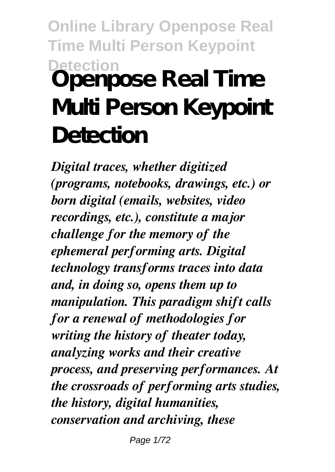# **Online Library Openpose Real Time Multi Person Keypoint Detection Openpose Real Time Multi Person Keypoint Detection**

*Digital traces, whether digitized (programs, notebooks, drawings, etc.) or born digital (emails, websites, video recordings, etc.), constitute a major challenge for the memory of the ephemeral performing arts. Digital technology transforms traces into data and, in doing so, opens them up to manipulation. This paradigm shift calls for a renewal of methodologies for writing the history of theater today, analyzing works and their creative process, and preserving performances. At the crossroads of performing arts studies, the history, digital humanities, conservation and archiving, these*

Page 1/72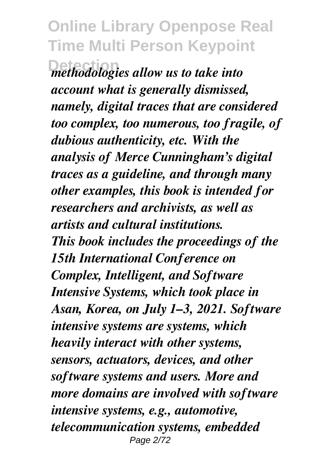$\overline{a}$  *methodologies allow us to take into account what is generally dismissed, namely, digital traces that are considered too complex, too numerous, too fragile, of dubious authenticity, etc. With the analysis of Merce Cunningham's digital traces as a guideline, and through many other examples, this book is intended for researchers and archivists, as well as artists and cultural institutions. This book includes the proceedings of the 15th International Conference on Complex, Intelligent, and Software Intensive Systems, which took place in Asan, Korea, on July 1–3, 2021. Software intensive systems are systems, which heavily interact with other systems, sensors, actuators, devices, and other software systems and users. More and more domains are involved with software intensive systems, e.g., automotive, telecommunication systems, embedded* Page 2/72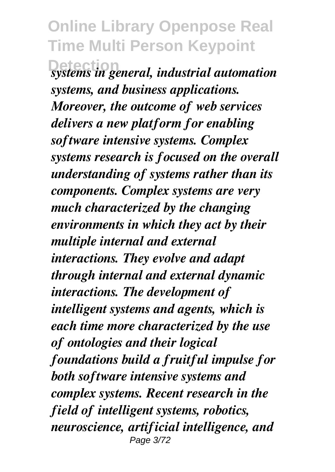**Detection** *systems in general, industrial automation systems, and business applications. Moreover, the outcome of web services delivers a new platform for enabling software intensive systems. Complex systems research is focused on the overall understanding of systems rather than its components. Complex systems are very much characterized by the changing environments in which they act by their multiple internal and external interactions. They evolve and adapt through internal and external dynamic interactions. The development of intelligent systems and agents, which is each time more characterized by the use of ontologies and their logical foundations build a fruitful impulse for both software intensive systems and complex systems. Recent research in the field of intelligent systems, robotics, neuroscience, artificial intelligence, and* Page 3/72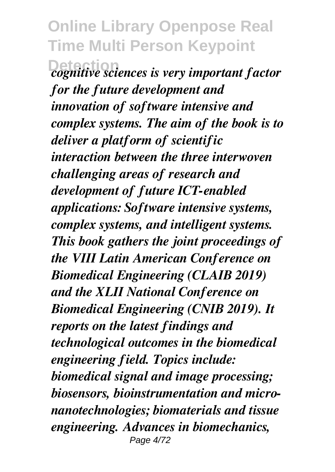**Detection** *cognitive sciences is very important factor for the future development and innovation of software intensive and complex systems. The aim of the book is to deliver a platform of scientific interaction between the three interwoven challenging areas of research and development of future ICT-enabled applications: Software intensive systems, complex systems, and intelligent systems. This book gathers the joint proceedings of the VIII Latin American Conference on Biomedical Engineering (CLAIB 2019) and the XLII National Conference on Biomedical Engineering (CNIB 2019). It reports on the latest findings and technological outcomes in the biomedical engineering field. Topics include: biomedical signal and image processing; biosensors, bioinstrumentation and micronanotechnologies; biomaterials and tissue engineering. Advances in biomechanics,* Page 4/72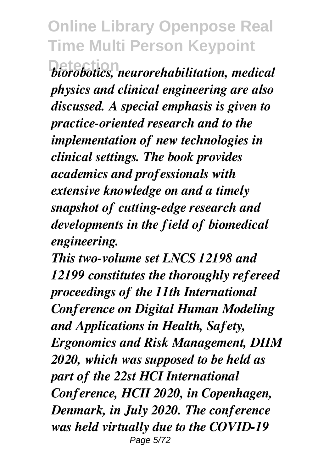$b$ iorobotics, neurorehabilitation, medical *physics and clinical engineering are also discussed. A special emphasis is given to practice-oriented research and to the implementation of new technologies in clinical settings. The book provides academics and professionals with extensive knowledge on and a timely snapshot of cutting-edge research and developments in the field of biomedical engineering.*

*This two-volume set LNCS 12198 and 12199 constitutes the thoroughly refereed proceedings of the 11th International Conference on Digital Human Modeling and Applications in Health, Safety, Ergonomics and Risk Management, DHM 2020, which was supposed to be held as part of the 22st HCI International Conference, HCII 2020, in Copenhagen, Denmark, in July 2020. The conference was held virtually due to the COVID-19* Page 5/72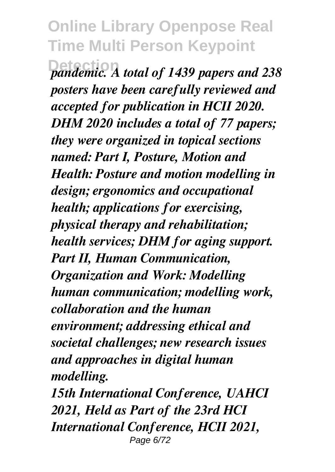**Detection** *pandemic. A total of 1439 papers and 238 posters have been carefully reviewed and accepted for publication in HCII 2020. DHM 2020 includes a total of 77 papers; they were organized in topical sections named: Part I, Posture, Motion and Health: Posture and motion modelling in design; ergonomics and occupational health; applications for exercising, physical therapy and rehabilitation; health services; DHM for aging support. Part II, Human Communication, Organization and Work: Modelling human communication; modelling work, collaboration and the human environment; addressing ethical and societal challenges; new research issues and approaches in digital human modelling.*

*15th International Conference, UAHCI 2021, Held as Part of the 23rd HCI International Conference, HCII 2021,* Page 6/72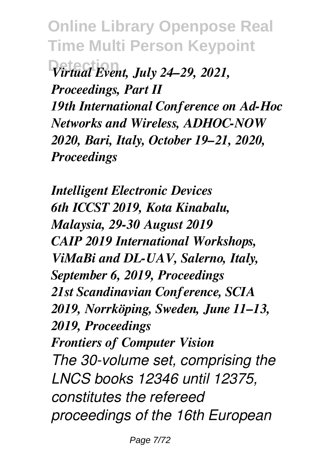**Detection** *Virtual Event, July 24–29, 2021, Proceedings, Part II 19th International Conference on Ad-Hoc Networks and Wireless, ADHOC-NOW 2020, Bari, Italy, October 19–21, 2020, Proceedings*

*Intelligent Electronic Devices 6th ICCST 2019, Kota Kinabalu, Malaysia, 29-30 August 2019 CAIP 2019 International Workshops, ViMaBi and DL-UAV, Salerno, Italy, September 6, 2019, Proceedings 21st Scandinavian Conference, SCIA 2019, Norrköping, Sweden, June 11–13, 2019, Proceedings Frontiers of Computer Vision The 30-volume set, comprising the LNCS books 12346 until 12375, constitutes the refereed proceedings of the 16th European*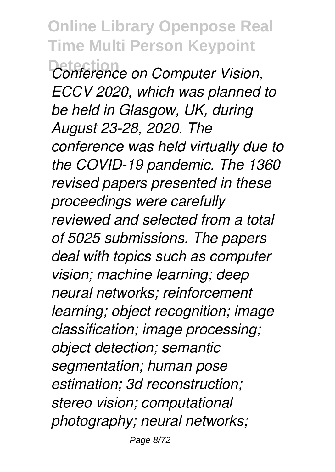**Online Library Openpose Real Time Multi Person Keypoint Detection** *Conference on Computer Vision, ECCV 2020, which was planned to be held in Glasgow, UK, during August 23-28, 2020. The conference was held virtually due to the COVID-19 pandemic. The 1360 revised papers presented in these proceedings were carefully reviewed and selected from a total of 5025 submissions. The papers deal with topics such as computer vision; machine learning; deep neural networks; reinforcement learning; object recognition; image classification; image processing; object detection; semantic segmentation; human pose estimation; 3d reconstruction; stereo vision; computational photography; neural networks;*

Page 8/72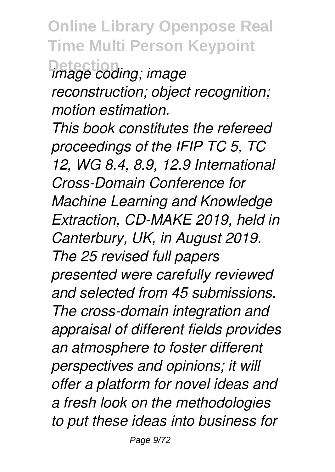**Online Library Openpose Real Time Multi Person Keypoint Detection** *image coding; image reconstruction; object recognition; motion estimation.*

*This book constitutes the refereed proceedings of the IFIP TC 5, TC 12, WG 8.4, 8.9, 12.9 International Cross-Domain Conference for Machine Learning and Knowledge Extraction, CD-MAKE 2019, held in Canterbury, UK, in August 2019. The 25 revised full papers presented were carefully reviewed and selected from 45 submissions. The cross-domain integration and appraisal of different fields provides an atmosphere to foster different perspectives and opinions; it will offer a platform for novel ideas and a fresh look on the methodologies to put these ideas into business for*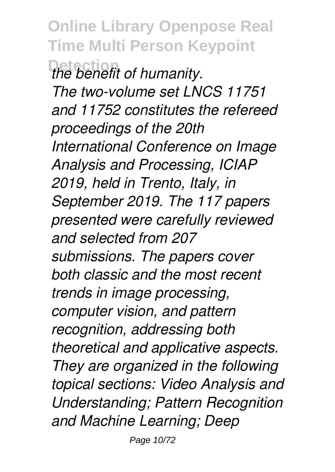**Online Library Openpose Real Time Multi Person Keypoint** *the benefit of humanity. The two-volume set LNCS 11751 and 11752 constitutes the refereed proceedings of the 20th International Conference on Image Analysis and Processing, ICIAP 2019, held in Trento, Italy, in September 2019. The 117 papers presented were carefully reviewed and selected from 207 submissions. The papers cover both classic and the most recent trends in image processing, computer vision, and pattern recognition, addressing both theoretical and applicative aspects. They are organized in the following topical sections: Video Analysis and Understanding; Pattern Recognition and Machine Learning; Deep*

Page 10/72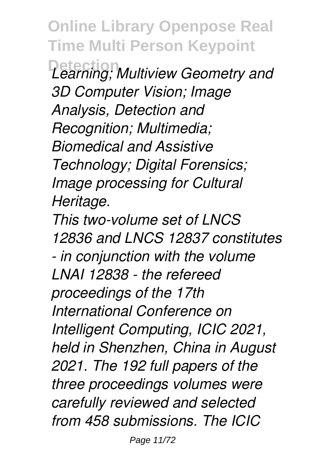**Online Library Openpose Real Time Multi Person Keypoint Detection** *Learning; Multiview Geometry and*

*3D Computer Vision; Image Analysis, Detection and Recognition; Multimedia; Biomedical and Assistive Technology; Digital Forensics; Image processing for Cultural Heritage.*

*This two-volume set of LNCS 12836 and LNCS 12837 constitutes - in conjunction with the volume LNAI 12838 - the refereed proceedings of the 17th International Conference on Intelligent Computing, ICIC 2021, held in Shenzhen, China in August 2021. The 192 full papers of the three proceedings volumes were carefully reviewed and selected from 458 submissions. The ICIC*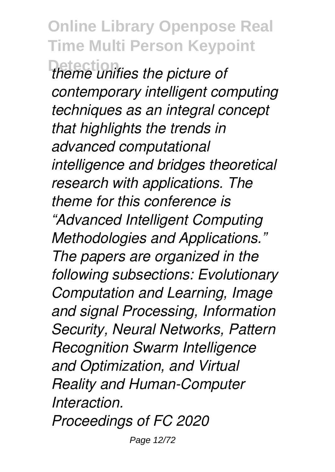**Online Library Openpose Real Time Multi Person Keypoint Detection** *theme unifies the picture of contemporary intelligent computing techniques as an integral concept that highlights the trends in advanced computational intelligence and bridges theoretical research with applications. The theme for this conference is "Advanced Intelligent Computing Methodologies and Applications." The papers are organized in the following subsections: Evolutionary Computation and Learning, Image and signal Processing, Information Security, Neural Networks, Pattern Recognition Swarm Intelligence and Optimization, and Virtual Reality and Human-Computer Interaction. Proceedings of FC 2020*

Page 12/72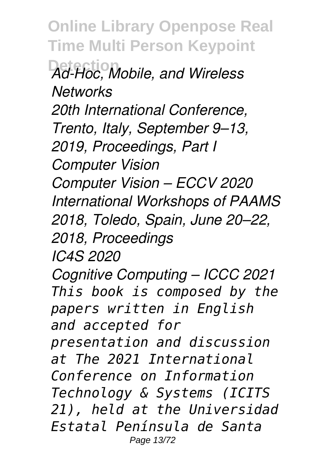**Online Library Openpose Real Time Multi Person Keypoint Detection** *Ad-Hoc, Mobile, and Wireless Networks 20th International Conference, Trento, Italy, September 9–13, 2019, Proceedings, Part I Computer Vision Computer Vision – ECCV 2020 International Workshops of PAAMS 2018, Toledo, Spain, June 20–22, 2018, Proceedings IC4S 2020 Cognitive Computing – ICCC 2021 This book is composed by the papers written in English and accepted for presentation and discussion at The 2021 International Conference on Information Technology & Systems (ICITS 21), held at the Universidad Estatal Península de Santa* Page 13/72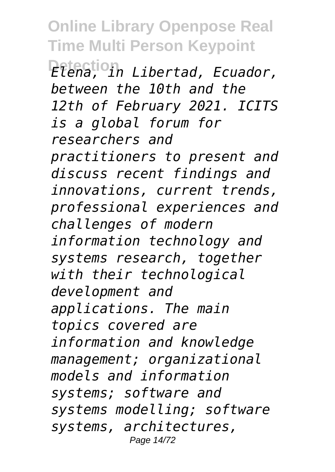**Online Library Openpose Real Time Multi Person Keypoint Detection** *Elena, in Libertad, Ecuador, between the 10th and the 12th of February 2021. ICITS is a global forum for researchers and practitioners to present and discuss recent findings and innovations, current trends, professional experiences and challenges of modern information technology and systems research, together with their technological development and applications. The main topics covered are information and knowledge management; organizational models and information systems; software and systems modelling; software systems, architectures,* Page 14/72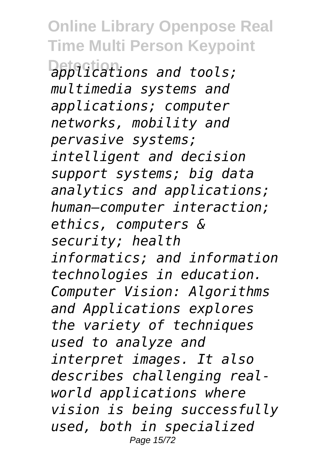**Detection** *applications and tools; multimedia systems and applications; computer networks, mobility and pervasive systems; intelligent and decision support systems; big data analytics and applications; human–computer interaction; ethics, computers & security; health informatics; and information technologies in education. Computer Vision: Algorithms and Applications explores the variety of techniques used to analyze and interpret images. It also describes challenging realworld applications where vision is being successfully used, both in specialized* Page 15/72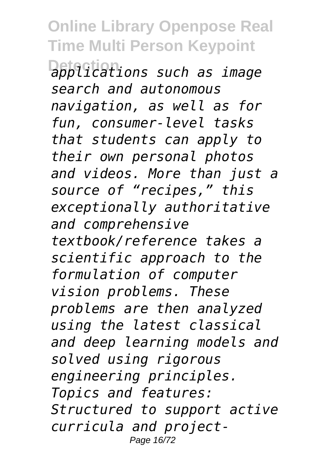**Detection** *applications such as image search and autonomous navigation, as well as for fun, consumer-level tasks that students can apply to their own personal photos and videos. More than just a source of "recipes," this exceptionally authoritative and comprehensive textbook/reference takes a scientific approach to the formulation of computer vision problems. These problems are then analyzed using the latest classical and deep learning models and solved using rigorous engineering principles. Topics and features: Structured to support active curricula and project-*Page 16/72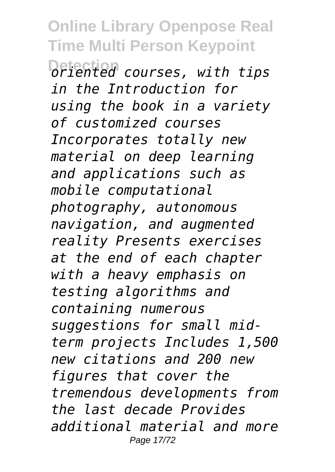**Online Library Openpose Real Time Multi Person Keypoint Detection** *oriented courses, with tips in the Introduction for using the book in a variety of customized courses Incorporates totally new material on deep learning and applications such as mobile computational photography, autonomous navigation, and augmented reality Presents exercises at the end of each chapter with a heavy emphasis on testing algorithms and containing numerous suggestions for small midterm projects Includes 1,500 new citations and 200 new figures that cover the tremendous developments from the last decade Provides additional material and more* Page 17/72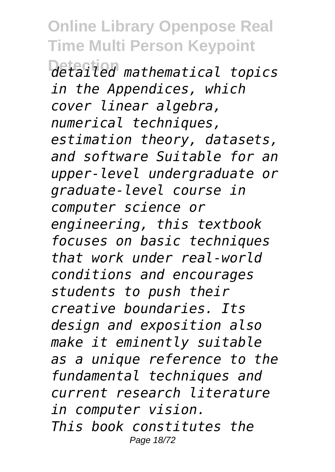**Detection** *detailed mathematical topics in the Appendices, which cover linear algebra, numerical techniques, estimation theory, datasets, and software Suitable for an upper-level undergraduate or graduate-level course in computer science or engineering, this textbook focuses on basic techniques that work under real-world conditions and encourages students to push their creative boundaries. Its design and exposition also make it eminently suitable as a unique reference to the fundamental techniques and current research literature in computer vision. This book constitutes the* Page 18/72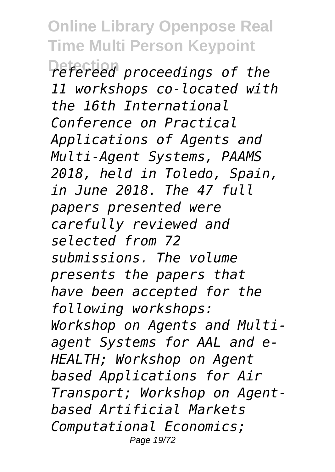**Online Library Openpose Real Time Multi Person Keypoint Detection** *refereed proceedings of the 11 workshops co-located with the 16th International Conference on Practical Applications of Agents and Multi-Agent Systems, PAAMS 2018, held in Toledo, Spain, in June 2018. The 47 full papers presented were carefully reviewed and selected from 72 submissions. The volume presents the papers that have been accepted for the following workshops: Workshop on Agents and Multiagent Systems for AAL and e-HEALTH; Workshop on Agent based Applications for Air Transport; Workshop on Agentbased Artificial Markets Computational Economics;* Page 19/72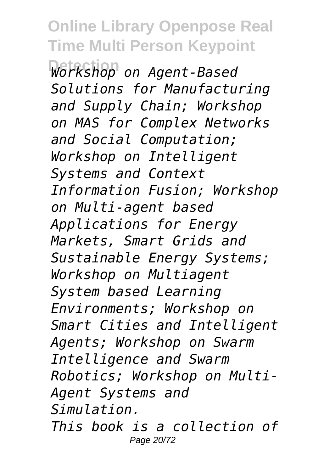**Online Library Openpose Real Time Multi Person Keypoint Detection** *Workshop on Agent-Based Solutions for Manufacturing and Supply Chain; Workshop on MAS for Complex Networks and Social Computation; Workshop on Intelligent Systems and Context Information Fusion; Workshop on Multi-agent based Applications for Energy Markets, Smart Grids and Sustainable Energy Systems; Workshop on Multiagent System based Learning Environments; Workshop on Smart Cities and Intelligent Agents; Workshop on Swarm Intelligence and Swarm Robotics; Workshop on Multi-Agent Systems and Simulation. This book is a collection of* Page 20/72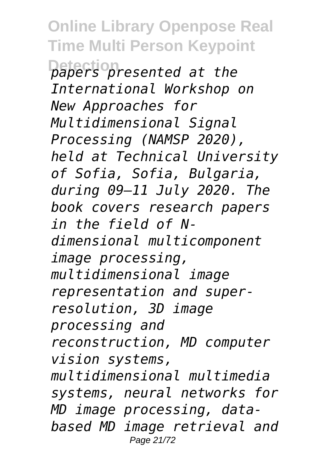**Online Library Openpose Real Time Multi Person Keypoint Detection** *papers presented at the International Workshop on New Approaches for Multidimensional Signal Processing (NAMSP 2020), held at Technical University of Sofia, Sofia, Bulgaria, during 09–11 July 2020. The book covers research papers in the field of Ndimensional multicomponent image processing, multidimensional image representation and superresolution, 3D image processing and reconstruction, MD computer vision systems, multidimensional multimedia systems, neural networks for MD image processing, databased MD image retrieval and* Page 21/72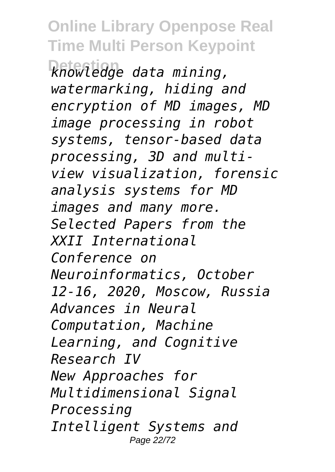**Detection** *knowledge data mining, watermarking, hiding and encryption of MD images, MD image processing in robot systems, tensor-based data processing, 3D and multiview visualization, forensic analysis systems for MD images and many more. Selected Papers from the XXII International Conference on Neuroinformatics, October 12-16, 2020, Moscow, Russia Advances in Neural Computation, Machine Learning, and Cognitive Research IV New Approaches for Multidimensional Signal Processing Intelligent Systems and* Page 22/72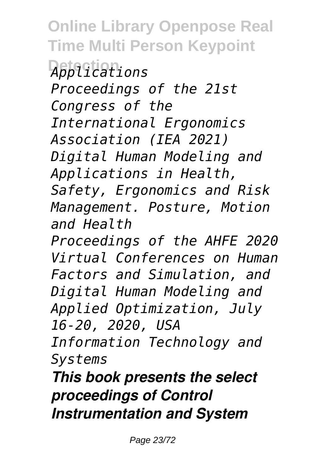**Detection** *Applications Proceedings of the 21st Congress of the International Ergonomics Association (IEA 2021) Digital Human Modeling and Applications in Health, Safety, Ergonomics and Risk Management. Posture, Motion and Health Proceedings of the AHFE 2020 Virtual Conferences on Human Factors and Simulation, and Digital Human Modeling and Applied Optimization, July 16-20, 2020, USA*

*Information Technology and Systems*

*This book presents the select proceedings of Control Instrumentation and System*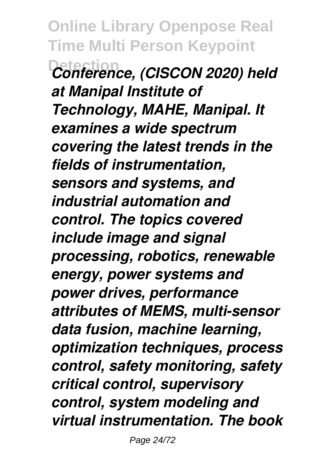**Online Library Openpose Real Time Multi Person Keypoint Detection** *Conference, (CISCON 2020) held at Manipal Institute of Technology, MAHE, Manipal. It examines a wide spectrum covering the latest trends in the fields of instrumentation, sensors and systems, and industrial automation and control. The topics covered include image and signal processing, robotics, renewable energy, power systems and power drives, performance attributes of MEMS, multi-sensor data fusion, machine learning, optimization techniques, process control, safety monitoring, safety critical control, supervisory control, system modeling and virtual instrumentation. The book*

Page 24/72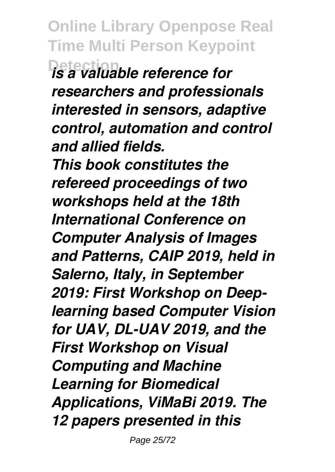**Online Library Openpose Real Time Multi Person Keypoint Detection** *is a valuable reference for researchers and professionals interested in sensors, adaptive control, automation and control and allied fields. This book constitutes the refereed proceedings of two workshops held at the 18th International Conference on Computer Analysis of Images and Patterns, CAIP 2019, held in Salerno, Italy, in September 2019: First Workshop on Deeplearning based Computer Vision for UAV, DL-UAV 2019, and the First Workshop on Visual Computing and Machine Learning for Biomedical Applications, ViMaBi 2019. The 12 papers presented in this*

Page 25/72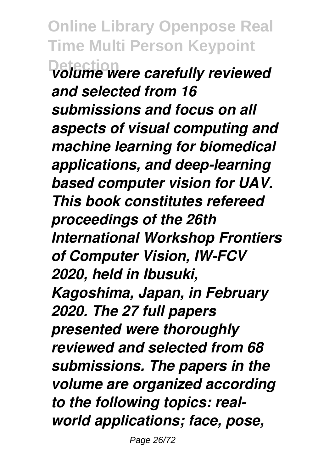**Online Library Openpose Real Time Multi Person Keypoint Detection** *volume were carefully reviewed and selected from 16 submissions and focus on all aspects of visual computing and machine learning for biomedical applications, and deep-learning based computer vision for UAV. This book constitutes refereed proceedings of the 26th International Workshop Frontiers of Computer Vision, IW-FCV 2020, held in Ibusuki, Kagoshima, Japan, in February 2020. The 27 full papers presented were thoroughly reviewed and selected from 68 submissions. The papers in the volume are organized according to the following topics: realworld applications; face, pose,*

Page 26/72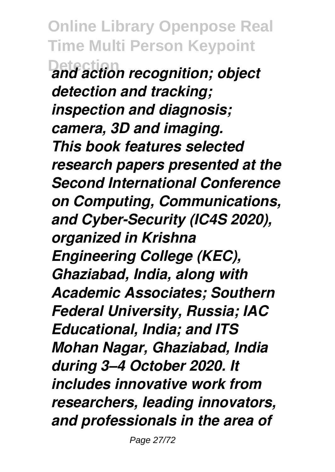**Online Library Openpose Real Time Multi Person Keypoint Detection** *and action recognition; object detection and tracking; inspection and diagnosis; camera, 3D and imaging. This book features selected research papers presented at the Second International Conference on Computing, Communications, and Cyber-Security (IC4S 2020), organized in Krishna Engineering College (KEC), Ghaziabad, India, along with Academic Associates; Southern Federal University, Russia; IAC Educational, India; and ITS Mohan Nagar, Ghaziabad, India during 3–4 October 2020. It includes innovative work from researchers, leading innovators, and professionals in the area of*

Page 27/72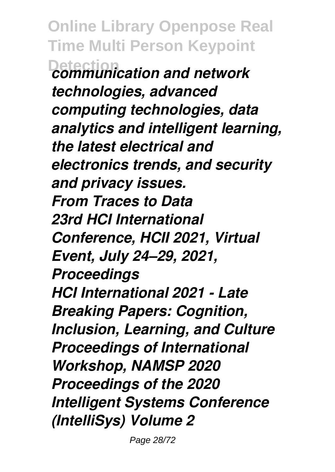**Online Library Openpose Real Time Multi Person Keypoint Detection** *communication and network technologies, advanced computing technologies, data analytics and intelligent learning, the latest electrical and electronics trends, and security and privacy issues. From Traces to Data 23rd HCI International Conference, HCII 2021, Virtual Event, July 24–29, 2021, Proceedings HCI International 2021 - Late Breaking Papers: Cognition, Inclusion, Learning, and Culture Proceedings of International Workshop, NAMSP 2020 Proceedings of the 2020 Intelligent Systems Conference (IntelliSys) Volume 2*

Page 28/72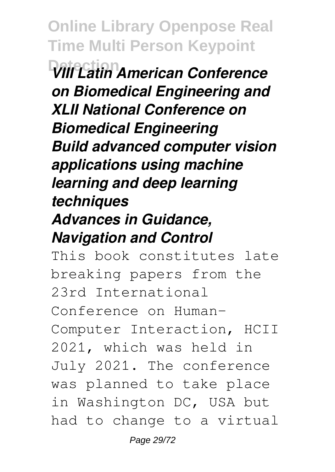**Online Library Openpose Real Time Multi Person Keypoint Detection** *VIII Latin American Conference on Biomedical Engineering and XLII National Conference on Biomedical Engineering Build advanced computer vision applications using machine learning and deep learning techniques Advances in Guidance, Navigation and Control*

This book constitutes late breaking papers from the 23rd International Conference on Human-Computer Interaction, HCII 2021, which was held in July 2021. The conference was planned to take place in Washington DC, USA but had to change to a virtual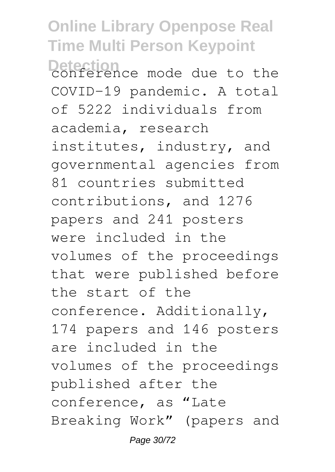**Online Library Openpose Real Time Multi Person Keypoint** Detection<br>conference mode due to the COVID-19 pandemic. A total of 5222 individuals from academia, research institutes, industry, and governmental agencies from 81 countries submitted contributions, and 1276 papers and 241 posters were included in the volumes of the proceedings that were published before the start of the conference. Additionally, 174 papers and 146 posters are included in the volumes of the proceedings published after the conference, as "Late Breaking Work" (papers and Page 30/72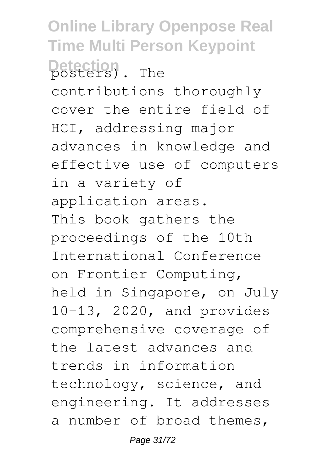**Online Library Openpose Real Time Multi Person Keypoint** Detection<sub>2</sub>. The contributions thoroughly cover the entire field of HCI, addressing major advances in knowledge and effective use of computers in a variety of application areas. This book gathers the proceedings of the 10th International Conference on Frontier Computing, held in Singapore, on July 10–13, 2020, and provides comprehensive coverage of the latest advances and trends in information technology, science, and engineering. It addresses a number of broad themes,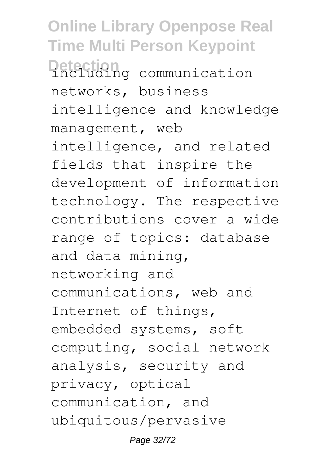**Online Library Openpose Real Time Multi Person Keypoint Detection**<br>including communication networks, business intelligence and knowledge management, web intelligence, and related fields that inspire the development of information technology. The respective contributions cover a wide range of topics: database and data mining, networking and communications, web and Internet of things, embedded systems, soft computing, social network analysis, security and privacy, optical communication, and ubiquitous/pervasive

Page 32/72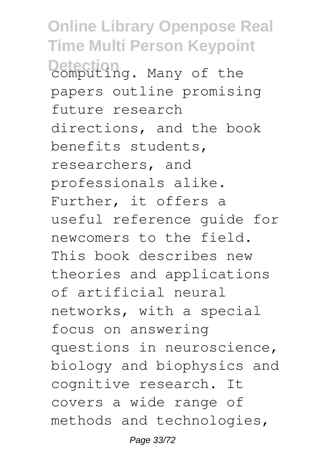**Online Library Openpose Real Time Multi Person Keypoint** Detection<br>computing. Many of the papers outline promising future research directions, and the book benefits students, researchers, and professionals alike. Further, it offers a useful reference guide for newcomers to the field. This book describes new theories and applications of artificial neural networks, with a special focus on answering questions in neuroscience, biology and biophysics and cognitive research. It covers a wide range of methods and technologies,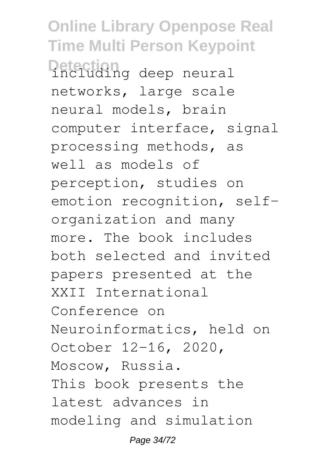**Online Library Openpose Real Time Multi Person Keypoint Detection**<br>including deep neural networks, large scale neural models, brain computer interface, signal processing methods, as well as models of perception, studies on emotion recognition, selforganization and many more. The book includes both selected and invited papers presented at the XXII International Conference on Neuroinformatics, held on October 12-16, 2020, Moscow, Russia. This book presents the latest advances in modeling and simulation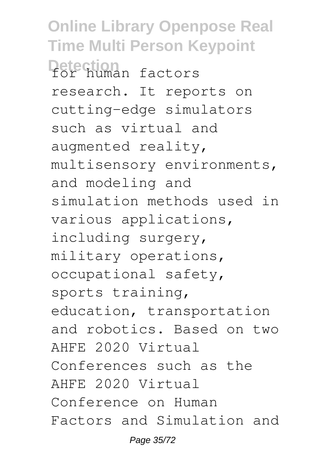**Online Library Openpose Real Time Multi Person Keypoint Detection** for human factors research. It reports on cutting-edge simulators such as virtual and augmented reality, multisensory environments, and modeling and simulation methods used in various applications, including surgery, military operations, occupational safety, sports training, education, transportation and robotics. Based on two AHFE 2020 Virtual Conferences such as the AHFE 2020 Virtual Conference on Human Factors and Simulation and Page 35/72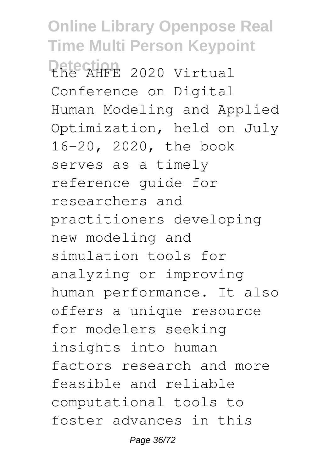**Online Library Openpose Real Time Multi Person Keypoint** Petection 2020 Virtual Conference on Digital Human Modeling and Applied Optimization, held on July 16–20, 2020, the book serves as a timely reference guide for researchers and practitioners developing new modeling and simulation tools for analyzing or improving human performance. It also offers a unique resource for modelers seeking insights into human factors research and more feasible and reliable computational tools to foster advances in this

Page 36/72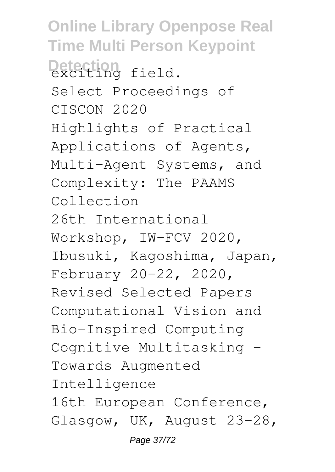**Online Library Openpose Real Time Multi Person Keypoint** Detection<br>exciting field. Select Proceedings of CISCON 2020 Highlights of Practical Applications of Agents, Multi-Agent Systems, and Complexity: The PAAMS Collection 26th International Workshop, IW-FCV 2020, Ibusuki, Kagoshima, Japan, February 20–22, 2020, Revised Selected Papers Computational Vision and Bio-Inspired Computing Cognitive Multitasking – Towards Augmented Intelligence 16th European Conference, Glasgow, UK, August 23–28, Page 37/72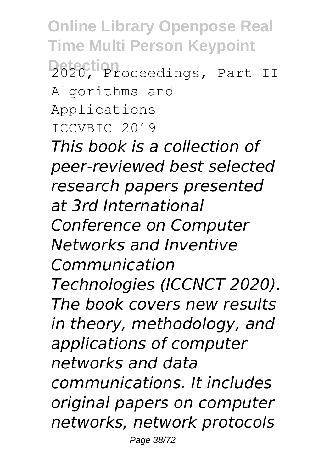**Online Library Openpose Real Time Multi Person Keypoint Detection** 2020, Proceedings, Part II Algorithms and Applications ICCVBIC 2019 *This book is a collection of peer-reviewed best selected research papers presented at 3rd International Conference on Computer Networks and Inventive Communication Technologies (ICCNCT 2020). The book covers new results in theory, methodology, and applications of computer networks and data communications. It includes original papers on computer networks, network protocols* Page 38/72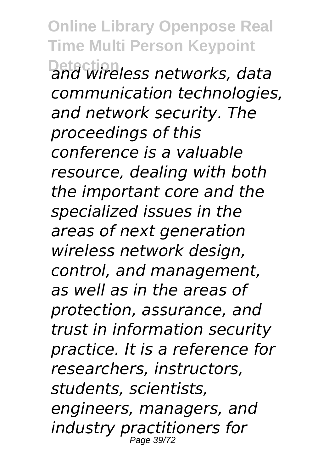**Online Library Openpose Real Time Multi Person Keypoint Detection** *and wireless networks, data communication technologies, and network security. The proceedings of this conference is a valuable resource, dealing with both the important core and the specialized issues in the areas of next generation wireless network design, control, and management, as well as in the areas of protection, assurance, and trust in information security practice. It is a reference for researchers, instructors, students, scientists, engineers, managers, and industry practitioners for* Page 39/72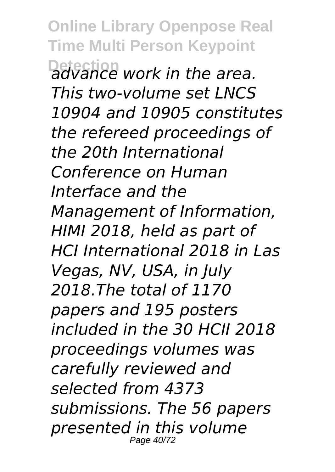**Online Library Openpose Real Time Multi Person Keypoint Detection** *advance work in the area. This two-volume set LNCS 10904 and 10905 constitutes the refereed proceedings of the 20th International Conference on Human Interface and the Management of Information, HIMI 2018, held as part of HCI International 2018 in Las Vegas, NV, USA, in July 2018.The total of 1170 papers and 195 posters included in the 30 HCII 2018 proceedings volumes was carefully reviewed and selected from 4373 submissions. The 56 papers presented in this volume* Page 40/72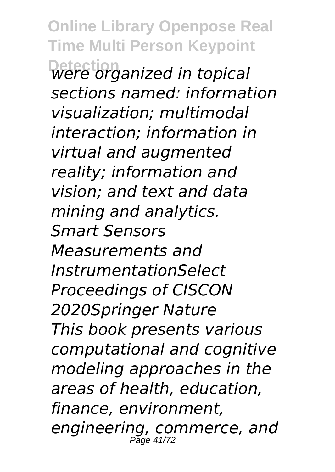**Online Library Openpose Real Time Multi Person Keypoint Detection** *were organized in topical sections named: information visualization; multimodal interaction; information in virtual and augmented reality; information and vision; and text and data mining and analytics. Smart Sensors Measurements and InstrumentationSelect Proceedings of CISCON 2020Springer Nature This book presents various computational and cognitive modeling approaches in the areas of health, education, finance, environment, engineering, commerce, and* Page 41/72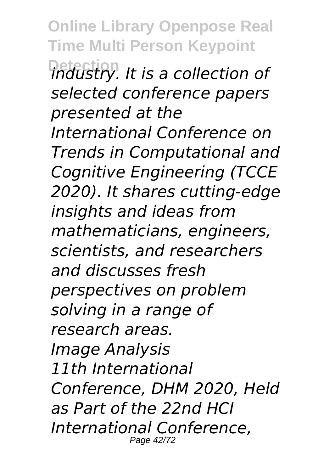**Online Library Openpose Real Time Multi Person Keypoint Detection** *industry. It is a collection of selected conference papers presented at the International Conference on Trends in Computational and Cognitive Engineering (TCCE 2020). It shares cutting-edge insights and ideas from mathematicians, engineers, scientists, and researchers and discusses fresh perspectives on problem solving in a range of research areas. Image Analysis 11th International Conference, DHM 2020, Held as Part of the 22nd HCI International Conference,* Page 42/72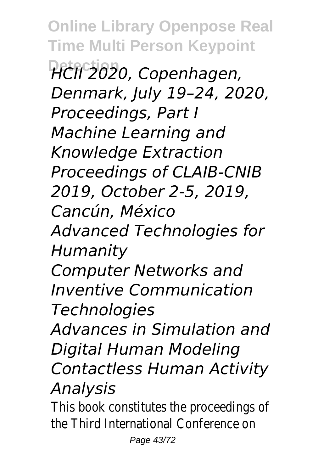**Online Library Openpose Real Time Multi Person Keypoint Detection** *HCII 2020, Copenhagen, Denmark, July 19–24, 2020, Proceedings, Part I Machine Learning and Knowledge Extraction Proceedings of CLAIB-CNIB 2019, October 2-5, 2019, Cancún, México Advanced Technologies for Humanity Computer Networks and Inventive Communication Technologies Advances in Simulation and Digital Human Modeling Contactless Human Activity Analysis*

This book constitutes the proceedings of the Third International Conference on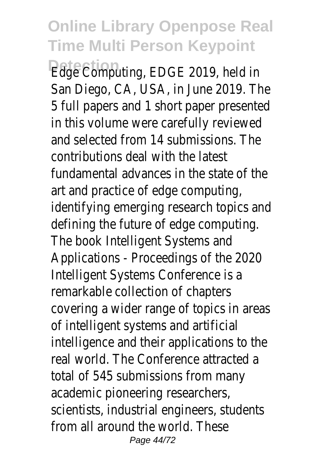**Detection** Edge Computing, EDGE 2019, held in San Diego, CA, USA, in June 2019. The 5 full papers and 1 short paper presented in this volume were carefully reviewed and selected from 14 submissions. The contributions deal with the latest fundamental advances in the state of the art and practice of edge computing, identifying emerging research topics and defining the future of edge computing. The book Intelligent Systems and Applications - Proceedings of the 2020 Intelligent Systems Conference is a remarkable collection of chapters covering a wider range of topics in areas of intelligent systems and artificial intelligence and their applications to the real world. The Conference attracted a total of 545 submissions from many academic pioneering researchers, scientists, industrial engineers, students from all around the world. These Page 44/72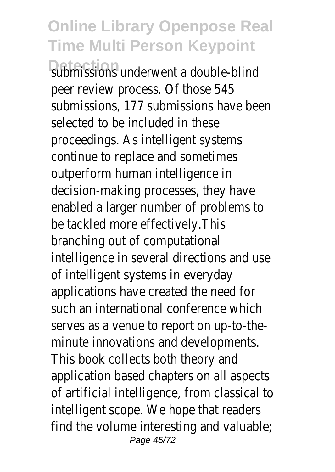**Rubmissions underwent a double-blind** peer review process. Of those 545 submissions, 177 submissions have been selected to be included in these proceedings. As intelligent systems continue to replace and sometimes outperform human intelligence in decision-making processes, they have enabled a larger number of problems to be tackled more effectively.This branching out of computational intelligence in several directions and use of intelligent systems in everyday applications have created the need for such an international conference which serves as a venue to report on up-to-theminute innovations and developments. This book collects both theory and application based chapters on all aspects of artificial intelligence, from classical to intelligent scope. We hope that readers find the volume interesting and valuable; Page 45/72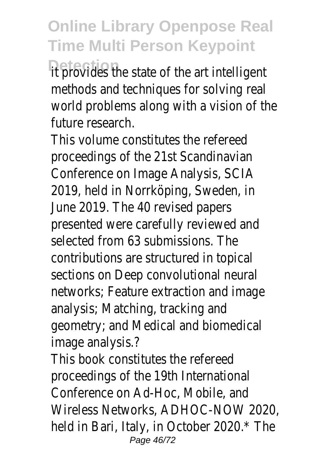**Detection** it provides the state of the art intelligent methods and techniques for solving real world problems along with a vision of the future research.

This volume constitutes the refereed proceedings of the 21st Scandinavian Conference on Image Analysis, SCIA 2019, held in Norrköping, Sweden, in June 2019. The 40 revised papers presented were carefully reviewed and selected from 63 submissions. The contributions are structured in topical sections on Deep convolutional neural networks; Feature extraction and image analysis; Matching, tracking and geometry; and Medical and biomedical image analysis.?

This book constitutes the refereed proceedings of the 19th International Conference on Ad-Hoc, Mobile, and Wireless Networks, ADHOC-NOW 2020, held in Bari, Italy, in October 2020.\* The Page 46/72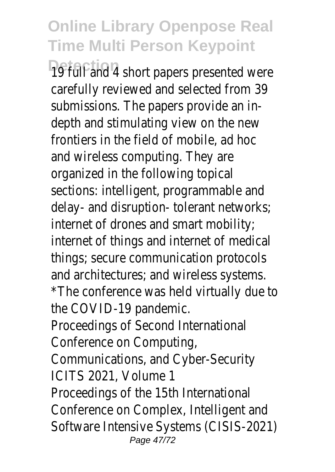19 full and 4 short papers presented were carefully reviewed and selected from 39 submissions. The papers provide an indepth and stimulating view on the new frontiers in the field of mobile, ad hoc and wireless computing. They are organized in the following topical sections: intelligent, programmable and delay- and disruption- tolerant networks; internet of drones and smart mobility; internet of things and internet of medical things; secure communication protocols and architectures; and wireless systems. \*The conference was held virtually due to the COVID-19 pandemic. Proceedings of Second International Conference on Computing, Communications, and Cyber-Security ICITS 2021, Volume 1 Proceedings of the 15th International Conference on Complex, Intelligent and Software Intensive Systems (CISIS-2021) Page 47/72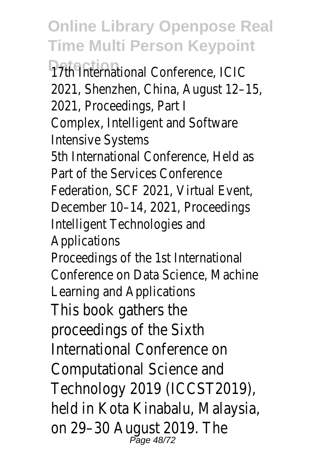**Detection** 17th International Conference, ICIC 2021, Shenzhen, China, August 12–15, 2021, Proceedings, Part I Complex, Intelligent and Software Intensive Systems 5th International Conference, Held as Part of the Services Conference Federation, SCF 2021, Virtual Event, December 10–14, 2021, Proceedings Intelligent Technologies and Applications Proceedings of the 1st International Conference on Data Science, Machine Learning and Applications This book gathers the proceedings of the Sixth International Conference on Computational Science and Technology 2019 (ICCST2019), held in Kota Kinabalu, Malaysia, on 29-30 August 2019. The<br>Page 48/72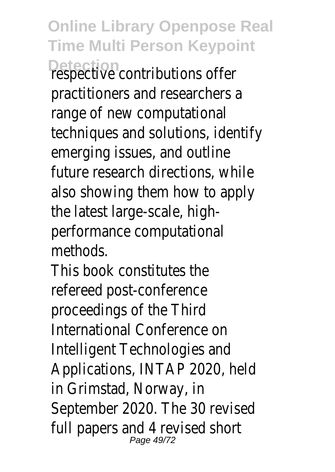**Online Library Openpose Real Time Multi Person Keypoint Detection** respective contributions offer practitioners and researchers a range of new computational techniques and solutions, identify emerging issues, and outline future research directions, while also showing them how to apply the latest large-scale, highperformance computational methods.

This book constitutes the refereed post-conference proceedings of the Third International Conference on Intelligent Technologies and Applications, INTAP 2020, held in Grimstad, Norway, in September 2020. The 30 revised full papers and 4 revised short Page 49/72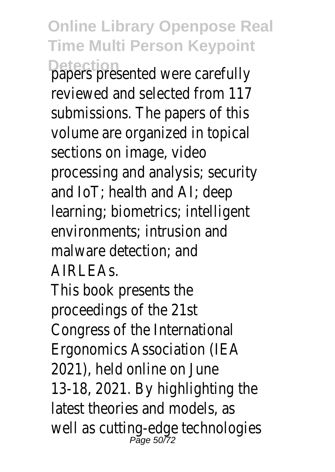**Online Library Openpose Real Time Multi Person Keypoint Detection** papers presented were carefully reviewed and selected from 117 submissions. The papers of this volume are organized in topical sections on image, video processing and analysis; security and IoT; health and AI; deep learning; biometrics; intelligent environments; intrusion and malware detection; and AIRLEAs.

This book presents the proceedings of the 21st Congress of the International Ergonomics Association (IEA 2021), held online on June 13-18, 2021. By highlighting the latest theories and models, as well as cutting-edge technologies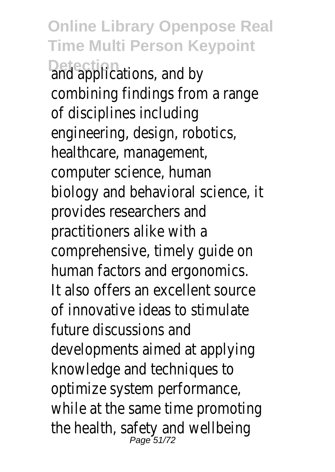**Online Library Openpose Real Time Multi Person Keypoint Detection** and applications, and by combining findings from a range of disciplines including engineering, design, robotics, healthcare, management, computer science, human biology and behavioral science, it provides researchers and practitioners alike with a comprehensive, timely guide on human factors and ergonomics. It also offers an excellent source of innovative ideas to stimulate future discussions and developments aimed at applying knowledge and techniques to optimize system performance, while at the same time promoting the health, safety and wellbeing<br>Page 51/72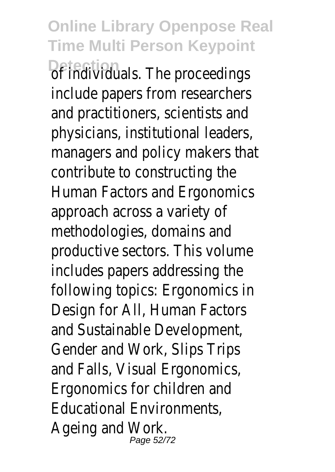**Online Library Openpose Real Time Multi Person Keypoint Detection** of individuals. The proceedings include papers from researchers and practitioners, scientists and physicians, institutional leaders, managers and policy makers that contribute to constructing the Human Factors and Ergonomics approach across a variety of methodologies, domains and productive sectors. This volume includes papers addressing the following topics: Ergonomics in Design for All, Human Factors and Sustainable Development, Gender and Work, Slips Trips and Falls, Visual Ergonomics, Ergonomics for children and Educational Environments, Ageing and Work. Page 52/72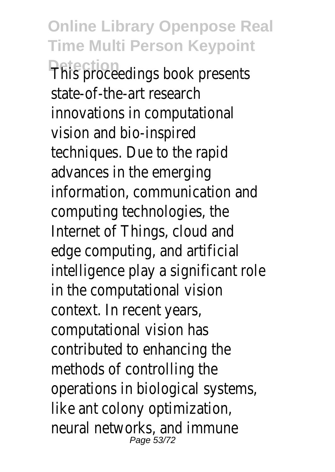**Online Library Openpose Real Time Multi Person Keypoint Detection** This proceedings book presents state-of-the-art research innovations in computational vision and bio-inspired techniques. Due to the rapid advances in the emerging information, communication and computing technologies, the Internet of Things, cloud and edge computing, and artificial intelligence play a significant role in the computational vision context. In recent years, computational vision has contributed to enhancing the methods of controlling the operations in biological systems, like ant colony optimization, neural networks, and immune Page 53/72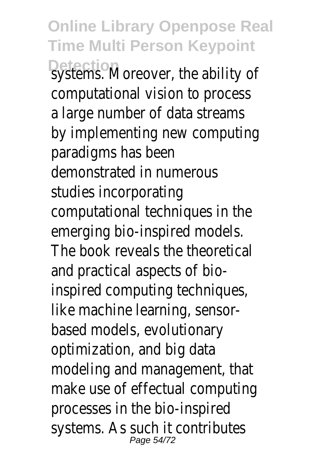**Online Library Openpose Real Time Multi Person Keypoint Detection** systems. Moreover, the ability of computational vision to process a large number of data streams by implementing new computing paradigms has been demonstrated in numerous studies incorporating computational techniques in the emerging bio-inspired models. The book reveals the theoretical and practical aspects of bioinspired computing techniques, like machine learning, sensorbased models, evolutionary optimization, and big data modeling and management, that make use of effectual computing processes in the bio-inspired systems. As such it contributes Page 54/72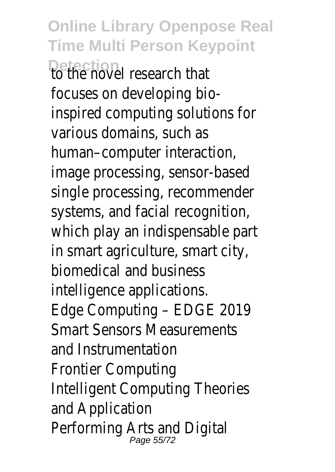**Online Library Openpose Real Time Multi Person Keypoint Detection**<br>To the novel research that focuses on developing bioinspired computing solutions for various domains, such as human–computer interaction, image processing, sensor-based single processing, recommender systems, and facial recognition, which play an indispensable part in smart agriculture, smart city, biomedical and business intelligence applications. Edge Computing – EDGE 2019 Smart Sensors Measurements and Instrumentation Frontier Computing Intelligent Computing Theories and Application Performing Arts and Digital Page 55/72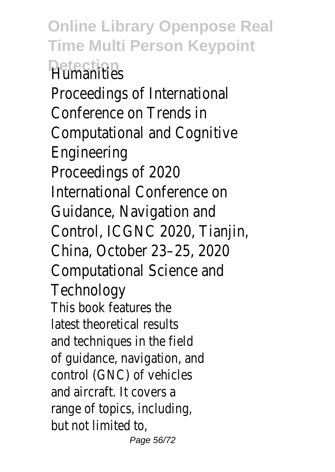**Online Library Openpose Real Time Multi Person Keypoint Detection** Humanities Proceedings of International Conference on Trends in Computational and Cognitive Engineering Proceedings of 2020 International Conference on Guidance, Navigation and Control, ICGNC 2020, Tianjin, China, October 23–25, 2020 Computational Science and **Technology** This book features the latest theoretical results and techniques in the field of guidance, navigation, and control (GNC) of vehicles and aircraft. It covers a range of topics, including, but not limited to, Page 56/72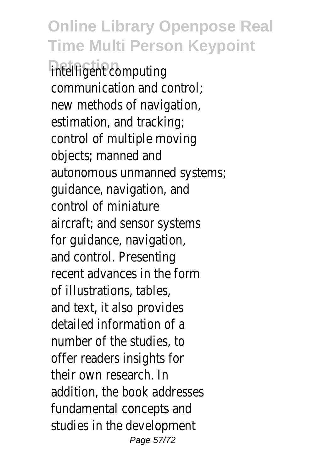**intelligent** computing communication and control; new methods of navigation, estimation, and tracking; control of multiple moving objects; manned and autonomous unmanned systems; guidance, navigation, and control of miniature aircraft; and sensor systems for guidance, navigation, and control. Presenting recent advances in the form of illustrations, tables, and text, it also provides detailed information of a number of the studies, to offer readers insights for their own research. In addition, the book addresses fundamental concepts and studies in the development Page 57/72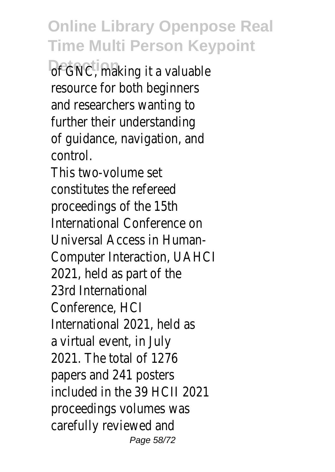**Of GNC, making it a valuable** resource for both beginners and researchers wanting to further their understanding of guidance, navigation, and control.

This two-volume set constitutes the refereed proceedings of the 15th International Conference on Universal Access in Human-Computer Interaction, UAHCI 2021, held as part of the 23rd International Conference, HCI International 2021, held as a virtual event, in July 2021. The total of 1276 papers and 241 posters included in the 39 HCII 2021 proceedings volumes was carefully reviewed and Page 58/72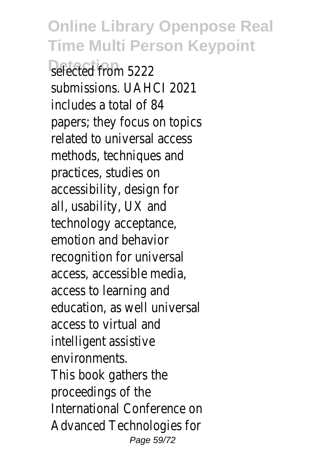*<u>Refected</u>* from 5222 submissions. UAHCI 2021 includes a total of 84 papers; they focus on topics related to universal access methods, techniques and practices, studies on accessibility, design for all, usability, UX and technology acceptance, emotion and behavior recognition for universal access, accessible media, access to learning and education, as well universal access to virtual and intelligent assistive environments. This book gathers the proceedings of the International Conference on Advanced Technologies for Page 59/72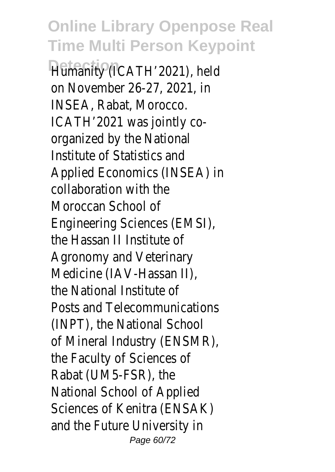**Detection** Humanity (ICATH'2021), held on November 26-27, 2021, in INSEA, Rabat, Morocco. ICATH'2021 was jointly coorganized by the National Institute of Statistics and Applied Economics (INSEA) in collaboration with the Moroccan School of Engineering Sciences (EMSI), the Hassan II Institute of Agronomy and Veterinary Medicine (IAV-Hassan II), the National Institute of Posts and Telecommunications (INPT), the National School of Mineral Industry (ENSMR), the Faculty of Sciences of Rabat (UM5-FSR), the National School of Applied Sciences of Kenitra (ENSAK) and the Future University in Page 60/72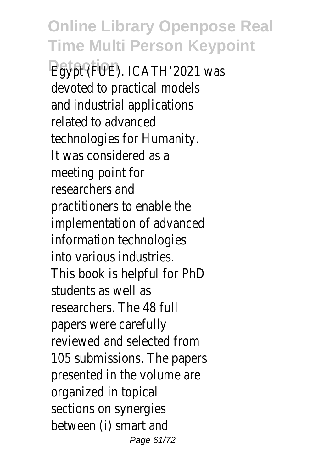Egypt (FUE). ICATH'2021 was devoted to practical models and industrial applications related to advanced technologies for Humanity. It was considered as a meeting point for researchers and practitioners to enable the implementation of advanced information technologies into various industries. This book is helpful for PhD students as well as researchers. The 48 full papers were carefully reviewed and selected from 105 submissions. The papers presented in the volume are organized in topical sections on synergies between (i) smart and Page 61/72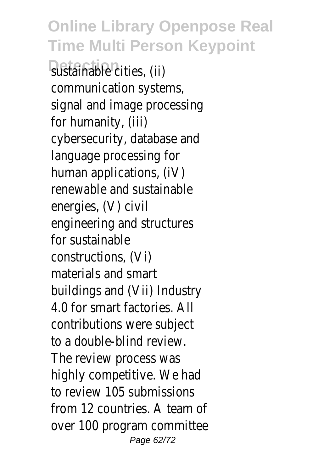sustainable cities, (ii) communication systems, signal and image processing for humanity, (iii) cybersecurity, database and language processing for human applications, (iV) renewable and sustainable energies, (V) civil engineering and structures for sustainable constructions, (Vi) materials and smart buildings and (Vii) Industry 4.0 for smart factories. All contributions were subject to a double-blind review. The review process was highly competitive. We had to review 105 submissions from 12 countries. A team of over 100 program committee Page 62/72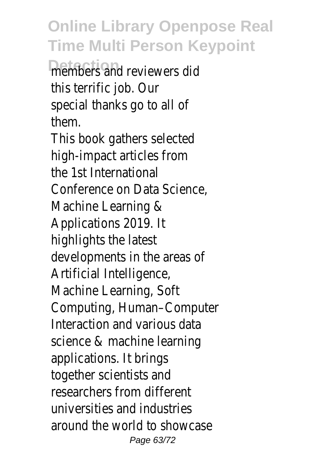members and reviewers did this terrific job. Our special thanks go to all of them.

This book gathers selected high-impact articles from the 1st International Conference on Data Science, Machine Learning & Applications 2019. It highlights the latest developments in the areas of Artificial Intelligence, Machine Learning, Soft Computing, Human–Computer Interaction and various data science & machine learning applications. It brings together scientists and researchers from different universities and industries around the world to showcase Page 63/72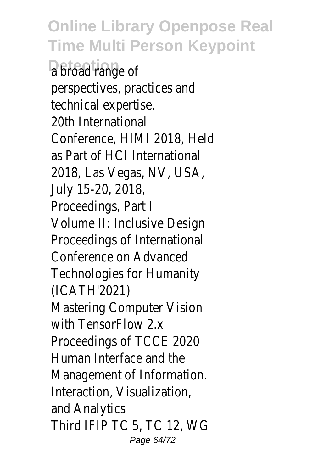a broad range of perspectives, practices and technical expertise. 20th International Conference, HIMI 2018, Held as Part of HCI International 2018, Las Vegas, NV, USA, July 15-20, 2018, Proceedings, Part I Volume II: Inclusive Design Proceedings of International Conference on Advanced Technologies for Humanity (ICATH'2021) Mastering Computer Vision with TensorFlow 2x Proceedings of TCCE 2020 Human Interface and the Management of Information. Interaction, Visualization, and Analytics Third IFIP TC 5, TC 12, WG Page 64/72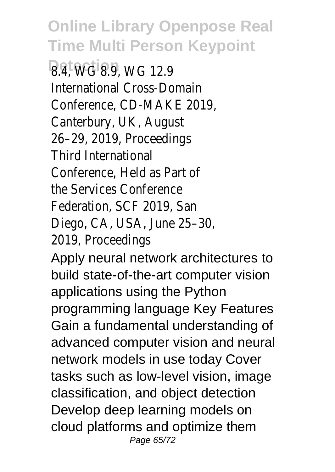**Detection** 8.4, WG 8.9, WG 12.9 International Cross-Domain Conference, CD-MAKE 2019, Canterbury, UK, August 26–29, 2019, Proceedings Third International Conference, Held as Part of the Services Conference Federation, SCF 2019, San Diego, CA, USA, June 25–30, 2019, Proceedings

Apply neural network architectures to build state-of-the-art computer vision applications using the Python programming language Key Features Gain a fundamental understanding of advanced computer vision and neural network models in use today Cover tasks such as low-level vision, image classification, and object detection Develop deep learning models on cloud platforms and optimize them Page 65/72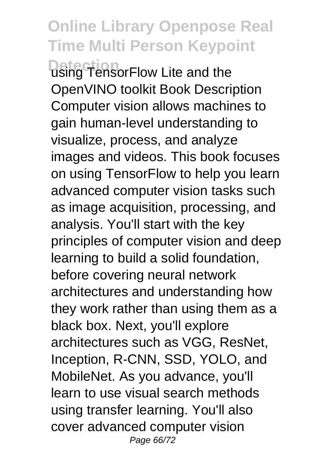**Detection** using TensorFlow Lite and the OpenVINO toolkit Book Description Computer vision allows machines to gain human-level understanding to visualize, process, and analyze images and videos. This book focuses on using TensorFlow to help you learn advanced computer vision tasks such as image acquisition, processing, and analysis. You'll start with the key principles of computer vision and deep learning to build a solid foundation, before covering neural network architectures and understanding how they work rather than using them as a black box. Next, you'll explore architectures such as VGG, ResNet, Inception, R-CNN, SSD, YOLO, and MobileNet. As you advance, you'll learn to use visual search methods using transfer learning. You'll also cover advanced computer vision Page 66/72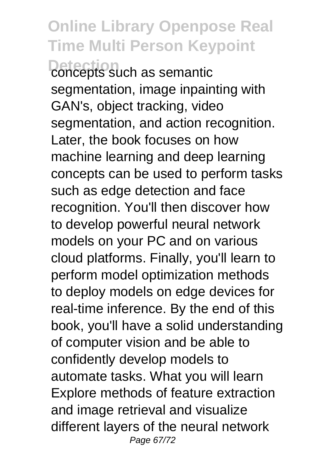**Detection** concepts such as semantic segmentation, image inpainting with GAN's, object tracking, video segmentation, and action recognition. Later, the book focuses on how machine learning and deep learning concepts can be used to perform tasks such as edge detection and face recognition. You'll then discover how to develop powerful neural network models on your PC and on various cloud platforms. Finally, you'll learn to perform model optimization methods to deploy models on edge devices for real-time inference. By the end of this book, you'll have a solid understanding of computer vision and be able to confidently develop models to automate tasks. What you will learn Explore methods of feature extraction and image retrieval and visualize different layers of the neural network Page 67/72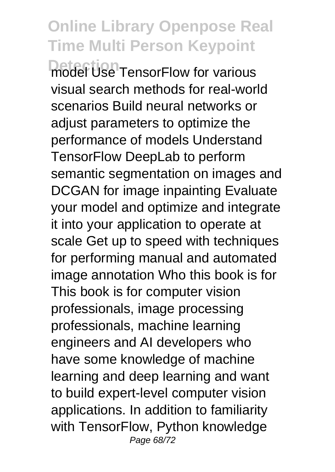**Detection** model Use TensorFlow for various visual search methods for real-world scenarios Build neural networks or adiust parameters to optimize the performance of models Understand TensorFlow DeepLab to perform semantic segmentation on images and DCGAN for image inpainting Evaluate your model and optimize and integrate it into your application to operate at scale Get up to speed with techniques for performing manual and automated image annotation Who this book is for This book is for computer vision professionals, image processing professionals, machine learning engineers and AI developers who have some knowledge of machine learning and deep learning and want to build expert-level computer vision applications. In addition to familiarity with TensorFlow, Python knowledge Page 68/72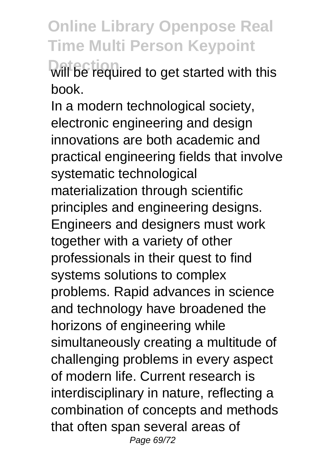**Will be required to get started with this** book.

In a modern technological society, electronic engineering and design innovations are both academic and practical engineering fields that involve systematic technological materialization through scientific principles and engineering designs. Engineers and designers must work together with a variety of other professionals in their quest to find systems solutions to complex problems. Rapid advances in science and technology have broadened the horizons of engineering while simultaneously creating a multitude of challenging problems in every aspect of modern life. Current research is interdisciplinary in nature, reflecting a combination of concepts and methods that often span several areas of Page 69/72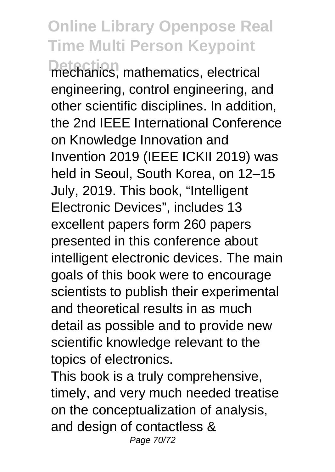**Detection** mechanics, mathematics, electrical engineering, control engineering, and other scientific disciplines. In addition, the 2nd IEEE International Conference on Knowledge Innovation and Invention 2019 (IEEE ICKII 2019) was held in Seoul, South Korea, on 12–15 July, 2019. This book, "Intelligent Electronic Devices", includes 13 excellent papers form 260 papers presented in this conference about intelligent electronic devices. The main goals of this book were to encourage scientists to publish their experimental and theoretical results in as much detail as possible and to provide new scientific knowledge relevant to the topics of electronics.

This book is a truly comprehensive, timely, and very much needed treatise on the conceptualization of analysis, and design of contactless & Page 70/72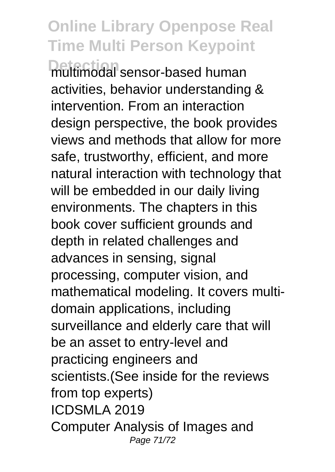**Detection** multimodal sensor-based human activities, behavior understanding & intervention. From an interaction design perspective, the book provides views and methods that allow for more safe, trustworthy, efficient, and more natural interaction with technology that will be embedded in our daily living environments. The chapters in this book cover sufficient grounds and depth in related challenges and advances in sensing, signal processing, computer vision, and mathematical modeling. It covers multidomain applications, including surveillance and elderly care that will be an asset to entry-level and practicing engineers and scientists.(See inside for the reviews from top experts) ICDSMLA 2019 Computer Analysis of Images and Page 71/72